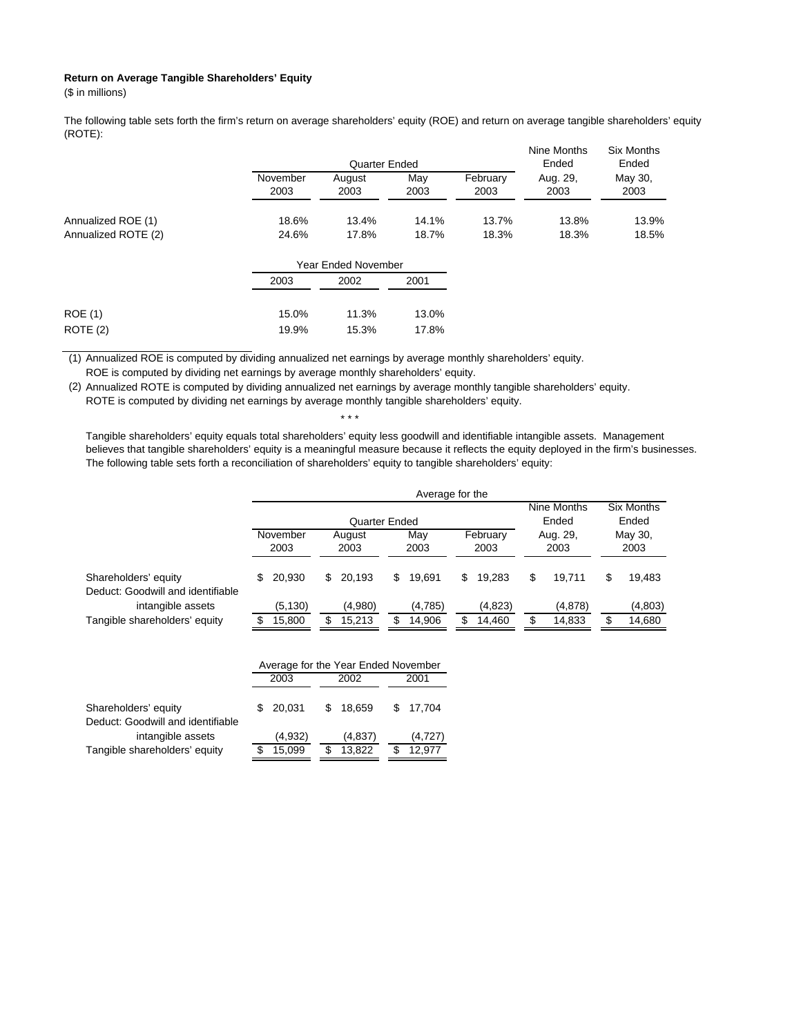## **Return on Average Tangible Shareholders' Equity**

(\$ in millions)

The following table sets forth the firm's return on average shareholders' equity (ROE) and return on average tangible shareholders' equity (ROTE):

|                     |                  | Quarter Ended              | Nine Months<br>Ended | <b>Six Months</b><br>Ended |                  |                 |
|---------------------|------------------|----------------------------|----------------------|----------------------------|------------------|-----------------|
|                     | November<br>2003 | August<br>2003             | May<br>2003          | February<br>2003           | Aug. 29,<br>2003 | May 30,<br>2003 |
|                     |                  |                            |                      |                            |                  |                 |
| Annualized ROE (1)  | 18.6%            | 13.4%                      | 14.1%                | 13.7%                      | 13.8%            | 13.9%           |
| Annualized ROTE (2) | 24.6%            | 17.8%                      | 18.7%                | 18.3%                      | 18.3%            | 18.5%           |
|                     |                  | <b>Year Ended November</b> |                      |                            |                  |                 |
|                     | 2003             | 2002                       | 2001                 |                            |                  |                 |
| <b>ROE</b> (1)      | 15.0%            | 11.3%                      | 13.0%                |                            |                  |                 |
| ROTE(2)             | 19.9%            | 15.3%                      | 17.8%                |                            |                  |                 |

(1) Annualized ROE is computed by dividing annualized net earnings by average monthly shareholders' equity.

ROE is computed by dividing net earnings by average monthly shareholders' equity.

Tangible shareholders' equity equals total shareholders' equity less goodwill and identifiable intangible assets. Management believes that tangible shareholders' equity is a meaningful measure because it reflects the equity deployed in the firm's businesses. The following table sets forth a reconciliation of shareholders' equity to tangible shareholders' equity:

|                                                           | Average for the  |                |                                 |                     |                 |  |  |
|-----------------------------------------------------------|------------------|----------------|---------------------------------|---------------------|-----------------|--|--|
|                                                           |                  | Quarter Ended  | Nine Months<br>Ended            | Six Months<br>Ended |                 |  |  |
|                                                           | November<br>2003 | August<br>2003 | May<br>February<br>2003<br>2003 | Aug. 29,<br>2003    | May 30,<br>2003 |  |  |
| Shareholders' equity<br>Deduct: Goodwill and identifiable | 20.930           | 20.193<br>S.   | 19.283<br>19.691<br>\$.<br>\$.  | \$<br>19.711        | S<br>19.483     |  |  |
| intangible assets                                         | (5, 130)         | (4,980)        | (4,785)<br>(4,823)              | (4,878)             | (4,803)         |  |  |
| Tangible shareholders' equity                             | 15,800           | 15,213         | \$<br>14.460<br>14,906          | 14,833<br>\$.       | 14,680          |  |  |

|                                   | Average for the Year Ended November |         |  |          |  |           |  |
|-----------------------------------|-------------------------------------|---------|--|----------|--|-----------|--|
|                                   | 2003                                |         |  | 2002     |  | 2001      |  |
|                                   |                                     |         |  |          |  |           |  |
| Shareholders' equity              |                                     | 20.031  |  | \$18.659 |  | \$ 17.704 |  |
| Deduct: Goodwill and identifiable |                                     |         |  |          |  |           |  |
| intangible assets                 |                                     | (4,932) |  | (4,837)  |  | (4,727)   |  |
| Tangible shareholders' equity     |                                     | 15,099  |  | 13,822   |  | 12,977    |  |

<sup>(2)</sup> Annualized ROTE is computed by dividing annualized net earnings by average monthly tangible shareholders' equity. ROTE is computed by dividing net earnings by average monthly tangible shareholders' equity. \* \* \*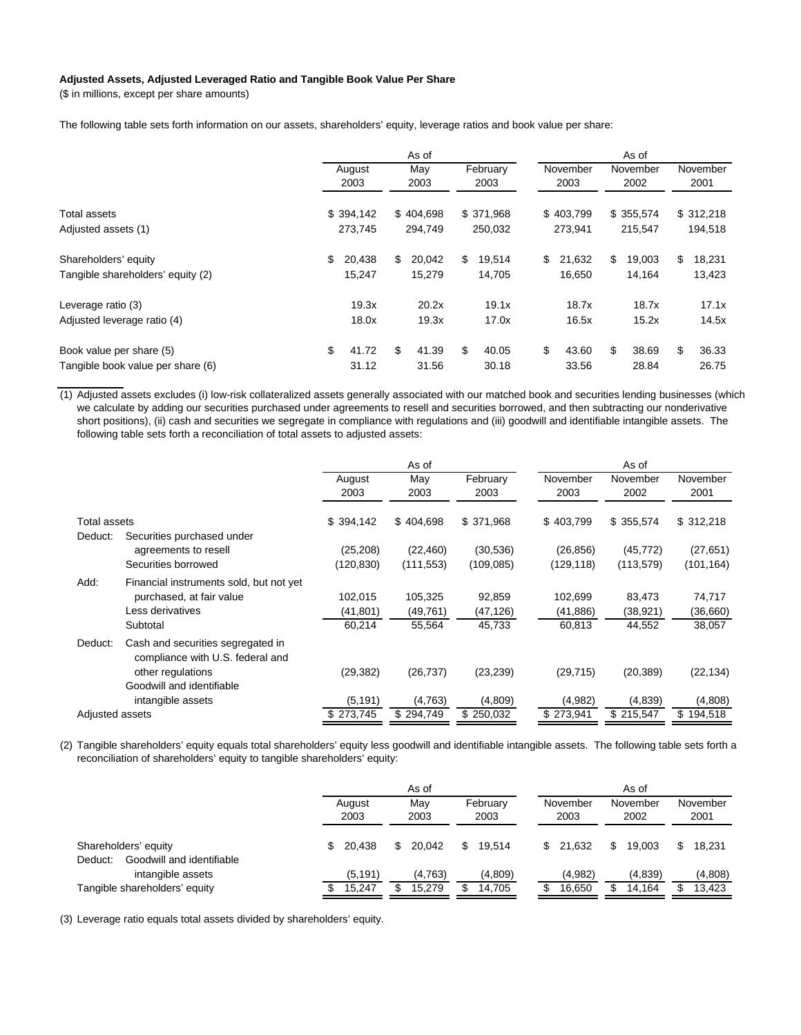## **Adjusted Assets, Adjusted Leveraged Ratio and Tangible Book Value Per Share**

(\$ in millions, except per share amounts)

The following table sets forth information on our assets, shareholders' equity, leverage ratios and book value per share:

|                                   | As of          |              |                  | As of            |                  |                  |  |
|-----------------------------------|----------------|--------------|------------------|------------------|------------------|------------------|--|
|                                   | August<br>2003 | May<br>2003  | February<br>2003 | November<br>2003 | November<br>2002 | November<br>2001 |  |
| Total assets                      | \$394,142      | \$404,698    | \$371,968        | \$403,799        | \$355,574        | \$312,218        |  |
| Adjusted assets (1)               | 273,745        | 294,749      | 250,032          | 273,941          | 215,547          | 194,518          |  |
| Shareholders' equity              | \$<br>20,438   | \$<br>20,042 | \$.<br>19,514    | 21,632<br>\$     | \$<br>19,003     | \$<br>18,231     |  |
| Tangible shareholders' equity (2) | 15,247         | 15,279       | 14,705           | 16,650           | 14,164           | 13,423           |  |
| Leverage ratio (3)                | 19.3x          | 20.2x        | 19.1x            | 18.7x            | 18.7x            | 17.1x            |  |
| Adjusted leverage ratio (4)       | 18.0x          | 19.3x        | 17.0x            | 16.5x            | 15.2x            | 14.5x            |  |
| Book value per share (5)          | \$<br>41.72    | \$<br>41.39  | \$<br>40.05      | \$<br>43.60      | \$<br>38.69      | 36.33<br>S       |  |
| Tangible book value per share (6) | 31.12          | 31.56        | 30.18            | 33.56            | 28.84            | 26.75            |  |

(1) Adjusted assets excludes (i) low-risk collateralized assets generally associated with our matched book and securities lending businesses (which we calculate by adding our securities purchased under agreements to resell and securities borrowed, and then subtracting our nonderivative short positions), (ii) cash and securities we segregate in compliance with regulations and (iii) goodwill and identifiable intangible assets. The following table sets forth a reconciliation of total assets to adjusted assets:

|                 |                                                                       | As of          |             |                  |                  | As of            |                  |  |  |
|-----------------|-----------------------------------------------------------------------|----------------|-------------|------------------|------------------|------------------|------------------|--|--|
|                 |                                                                       | August<br>2003 | May<br>2003 | February<br>2003 | November<br>2003 | November<br>2002 | November<br>2001 |  |  |
| Total assets    |                                                                       | \$394,142      | \$404,698   | \$371,968        | \$403,799        | \$355,574        | \$312,218        |  |  |
| Deduct:         | Securities purchased under                                            |                |             |                  |                  |                  |                  |  |  |
|                 | agreements to resell                                                  | (25, 208)      | (22, 460)   | (30, 536)        | (26, 856)        | (45, 772)        | (27, 651)        |  |  |
|                 | Securities borrowed                                                   | (120, 830)     | (111, 553)  | (109, 085)       | (129,118)        | (113, 579)       | (101, 164)       |  |  |
| Add:            | Financial instruments sold, but not yet                               |                |             |                  |                  |                  |                  |  |  |
|                 | purchased, at fair value                                              | 102,015        | 105,325     | 92,859           | 102,699          | 83,473           | 74,717           |  |  |
|                 | Less derivatives                                                      | (41,801)       | (49, 761)   | (47, 126)        | (41, 886)        | (38, 921)        | (36, 660)        |  |  |
|                 | Subtotal                                                              | 60,214         | 55,564      | 45,733           | 60,813           | 44,552           | 38,057           |  |  |
| Deduct:         | Cash and securities segregated in<br>compliance with U.S. federal and |                |             |                  |                  |                  |                  |  |  |
|                 | other regulations                                                     | (29, 382)      | (26, 737)   | (23, 239)        | (29, 715)        | (20, 389)        | (22, 134)        |  |  |
|                 | Goodwill and identifiable                                             |                |             |                  |                  |                  |                  |  |  |
|                 | intangible assets                                                     | (5, 191)       | (4,763)     | (4,809)          | (4,982)          | (4,839)          | (4,808)          |  |  |
| Adjusted assets |                                                                       | \$273,745      | \$294,749   | \$250,032        | \$273,941        | \$215,547        | \$194,518        |  |  |

(2) Tangible shareholders' equity equals total shareholders' equity less goodwill and identifiable intangible assets. The following table sets forth a reconciliation of shareholders' equity to tangible shareholders' equity:

|                                                                                            |                    | As of             |                   |                   | As of             |                   |  |  |
|--------------------------------------------------------------------------------------------|--------------------|-------------------|-------------------|-------------------|-------------------|-------------------|--|--|
|                                                                                            | August<br>2003     | May<br>2003       | February<br>2003  | November<br>2003  | November<br>2002  | November<br>2001  |  |  |
| Shareholders' equity                                                                       | 20.438<br>SS.      | 20.042            | \$<br>19.514      | \$21.632          | 19.003<br>\$.     | 18.231            |  |  |
| Deduct:<br>Goodwill and identifiable<br>intangible assets<br>Tangible shareholders' equity | (5, 191)<br>15.247 | (4,763)<br>15.279 | (4,809)<br>14,705 | (4,982)<br>16,650 | (4,839)<br>14,164 | (4,808)<br>13,423 |  |  |

(3) Leverage ratio equals total assets divided by shareholders' equity.